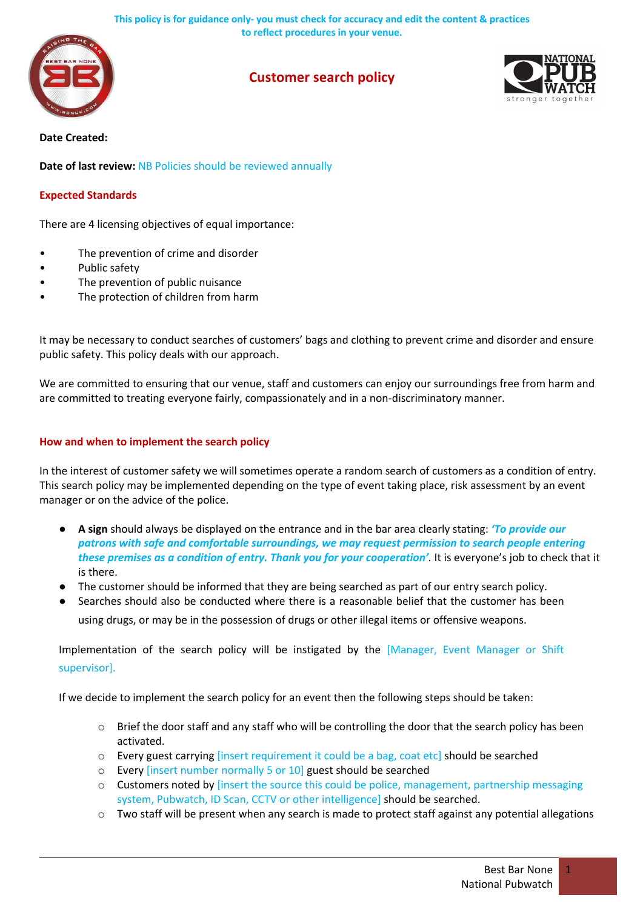**This policy is for guidance only- you must check for accuracy and edit the content & practices to reflect procedures in your venue.**



# **Customer search policy**



#### **Date Created:**

**Date of last review:** NB Policies should be reviewed annually

## **Expected Standards**

There are 4 licensing objectives of equal importance:

- The prevention of crime and disorder
- Public safety
- The prevention of public nuisance
- The protection of children from harm

It may be necessary to conduct searches of customers' bags and clothing to prevent crime and disorder and ensure public safety. This policy deals with our approach.

We are committed to ensuring that our venue, staff and customers can enjoy our surroundings free from harm and are committed to treating everyone fairly, compassionately and in a non-discriminatory manner.

## **How and when to implement the search policy**

In the interest of customer safety we will sometimes operate a random search of customers as a condition of entry. This search policy may be implemented depending on the type of event taking place, risk assessment by an event manager or on the advice of the police.

- **A sign** should always be displayed on the entrance and in the bar area clearly stating: *'To provide our patrons with safe and comfortable surroundings, we may request permission to search people entering these premises as a condition of entry. Thank you for your cooperation'.* It is everyone's job to check that it is there.
- The customer should be informed that they are being searched as part of our entry search policy.
- Searches should also be conducted where there is a reasonable belief that the customer has been using drugs, or may be in the possession of drugs or other illegal items or offensive weapons.

Implementation of the search policy will be instigated by the [Manager, Event Manager or Shift supervisor].

If we decide to implement the search policy for an event then the following steps should be taken:

- $\circ$  Brief the door staff and any staff who will be controlling the door that the search policy has been activated.
- o Every guest carrying [insert requirement it could be a bag, coat etc] should be searched
- o Every [insert number normally 5 or 10] guest should be searched
- o Customers noted by [insert the source this could be police, management, partnership messaging system, Pubwatch, ID Scan, CCTV or other intelligence] should be searched.
- $\circ$  Two staff will be present when any search is made to protect staff against any potential allegations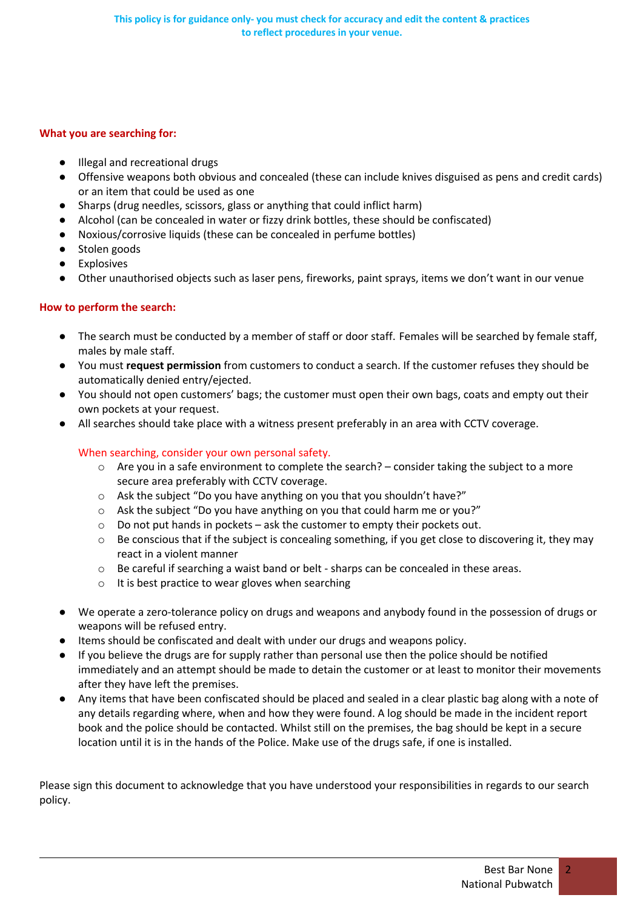#### **What you are searching for:**

- Illegal and recreational drugs
- Offensive weapons both obvious and concealed (these can include knives disguised as pens and credit cards) or an item that could be used as one
- Sharps (drug needles, scissors, glass or anything that could inflict harm)
- Alcohol (can be concealed in water or fizzy drink bottles, these should be confiscated)
- Noxious/corrosive liquids (these can be concealed in perfume bottles)
- Stolen goods
- Explosives
- Other unauthorised objects such as laser pens, fireworks, paint sprays, items we don't want in our venue

# **How to perform the search:**

- The search must be conducted by a member of staff or door staff. Females will be searched by female staff, males by male staff.
- You must **request permission** from customers to conduct a search. If the customer refuses they should be automatically denied entry/ejected.
- You should not open customers' bags; the customer must open their own bags, coats and empty out their own pockets at your request.
- All searches should take place with a witness present preferably in an area with CCTV coverage.

## When searching, consider your own personal safety.

- $\circ$  Are you in a safe environment to complete the search? consider taking the subject to a more secure area preferably with CCTV coverage.
- o Ask the subject "Do you have anything on you that you shouldn't have?"
- o Ask the subject "Do you have anything on you that could harm me or you?"
- o Do not put hands in pockets ask the customer to empty their pockets out.
- $\circ$  Be conscious that if the subject is concealing something, if you get close to discovering it, they may react in a violent manner
- o Be careful if searching a waist band or belt sharps can be concealed in these areas.
- o It is best practice to wear gloves when searching
- We operate a zero-tolerance policy on drugs and weapons and anybody found in the possession of drugs or weapons will be refused entry.
- Items should be confiscated and dealt with under our drugs and weapons policy.
- If you believe the drugs are for supply rather than personal use then the police should be notified immediately and an attempt should be made to detain the customer or at least to monitor their movements after they have left the premises.
- Any items that have been confiscated should be placed and sealed in a clear plastic bag along with a note of any details regarding where, when and how they were found. A log should be made in the incident report book and the police should be contacted. Whilst still on the premises, the bag should be kept in a secure location until it is in the hands of the Police. Make use of the drugs safe, if one is installed.

Please sign this document to acknowledge that you have understood your responsibilities in regards to our search policy.